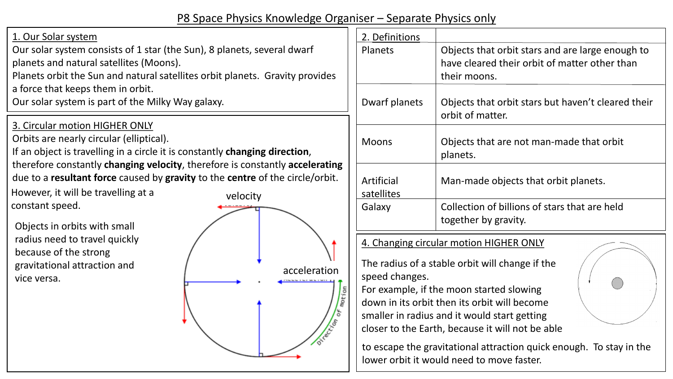# P8 Space Physics Knowledge Organiser – Separate Physics only

#### 1. Our Solar system

Our solar system consists of 1 star (the Sun), 8 planets, several dwarf planets and natural satellites (Moons).

Planets orbit the Sun and natural satellites orbit planets. Gravity provides a force that keeps them in orbit.

Our solar system is part of the Milky Way galaxy.

3. Circular motion HIGHER ONLY

Orbits are nearly circular (elliptical).

If an object is travelling in a circle it is constantly **changing direction**, therefore constantly **changing velocity**, therefore is constantly **accelerating** due to a **resultant force** caused by **gravity** to the **centre** of the circle/orbit.

However, it will be travelling at a constant speed.

Objects in orbits with small radius need to travel quickly because of the strong gravitational attraction and vice versa.



| 2. Definitions           |                                                                                                                   |
|--------------------------|-------------------------------------------------------------------------------------------------------------------|
| <b>Planets</b>           | Objects that orbit stars and are large enough to<br>have cleared their orbit of matter other than<br>their moons. |
| Dwarf planets            | Objects that orbit stars but haven't cleared their<br>orbit of matter.                                            |
| <b>Moons</b>             | Objects that are not man-made that orbit<br>planets.                                                              |
| Artificial<br>satellites | Man-made objects that orbit planets.                                                                              |
| Galaxy                   | Collection of billions of stars that are held<br>together by gravity.                                             |
|                          |                                                                                                                   |

4. Changing circular motion HIGHER ONLY

The radius of a stable orbit will change if the speed changes.

For example, if the moon started slowing down in its orbit then its orbit will become smaller in radius and it would start getting closer to the Earth, because it will not be able

to escape the gravitational attraction quick enough. To stay in the lower orbit it would need to move faster.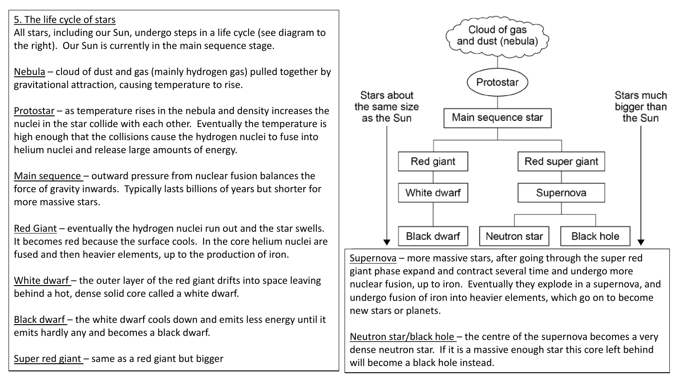5. The life cycle of stars

All stars, including our Sun, undergo steps in a life cycle (see diagram to the right). Our Sun is currently in the main sequence stage.

Nebula – cloud of dust and gas (mainly hydrogen gas) pulled together by gravitational attraction, causing temperature to rise.

Protostar – as temperature rises in the nebula and density increases the nuclei in the star collide with each other. Eventually the temperature is high enough that the collisions cause the hydrogen nuclei to fuse into helium nuclei and release large amounts of energy.

Main sequence – outward pressure from nuclear fusion balances the force of gravity inwards. Typically lasts billions of years but shorter for more massive stars.

Red Giant – eventually the hydrogen nuclei run out and the star swells. It becomes red because the surface cools. In the core helium nuclei are fused and then heavier elements, up to the production of iron.

White dwarf – the outer layer of the red giant drifts into space leaving behind a hot, dense solid core called a white dwarf.

Black dwarf – the white dwarf cools down and emits less energy until it emits hardly any and becomes a black dwarf.

Super red giant – same as a red giant but bigger



Supernova – more massive stars, after going through the super red giant phase expand and contract several time and undergo more nuclear fusion, up to iron. Eventually they explode in a supernova, and undergo fusion of iron into heavier elements, which go on to become new stars or planets.

Neutron star/black hole - the centre of the supernova becomes a very dense neutron star. If it is a massive enough star this core left behind will become a black hole instead.